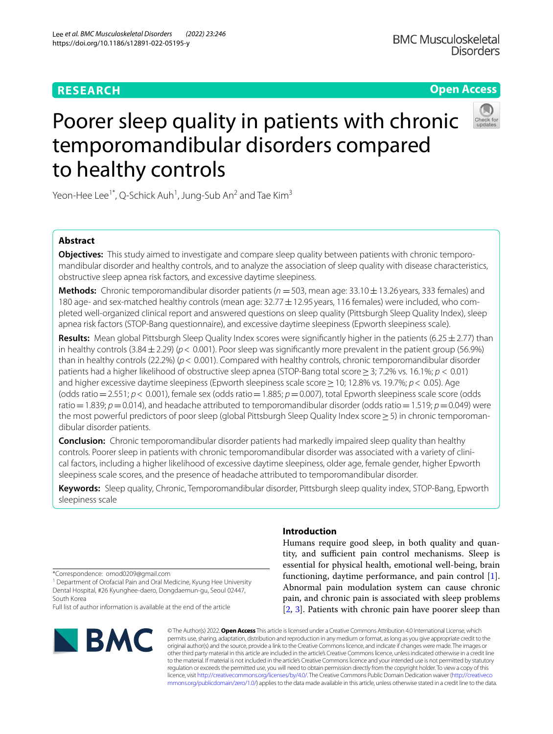## **RESEARCH**

## **Open Access**



# Poorer sleep quality in patients with chronic temporomandibular disorders compared to healthy controls

Yeon-Hee Lee $^{\text{1*}}$ , Q-Schick Auh $^{\text{1}}$ , Jung-Sub An $^{\text{2}}$  and Tae Kim $^{\text{3}}$ 

## **Abstract**

**Objectives:** This study aimed to investigate and compare sleep quality between patients with chronic temporomandibular disorder and healthy controls, and to analyze the association of sleep quality with disease characteristics, obstructive sleep apnea risk factors, and excessive daytime sleepiness.

**Methods:** Chronic temporomandibular disorder patients ( $n = 503$ , mean age: 33.10 $\pm$ 13.26 years, 333 females) and 180 age- and sex-matched healthy controls (mean age: 32.77  $\pm$  12.95 years, 116 females) were included, who completed well-organized clinical report and answered questions on sleep quality (Pittsburgh Sleep Quality Index), sleep apnea risk factors (STOP-Bang questionnaire), and excessive daytime sleepiness (Epworth sleepiness scale).

**Results:** Mean global Pittsburgh Sleep Quality Index scores were signifcantly higher in the patients (6.25±2.77) than in healthy controls (3.84±2.29) (*p*< 0.001). Poor sleep was signifcantly more prevalent in the patient group (56.9%) than in healthy controls (22.2%) (*p*< 0.001). Compared with healthy controls, chronic temporomandibular disorder patients had a higher likelihood of obstructive sleep apnea (STOP-Bang total score≥3; 7.2% vs. 16.1%; *p* < 0.01) and higher excessive daytime sleepiness (Epworth sleepiness scale score≥10; 12.8% vs. 19.7%; *p*< 0.05). Age (odds ratio=2.551; *p*< 0.001), female sex (odds ratio=1.885; *p*=0.007), total Epworth sleepiness scale score (odds ratio = 1.839; *p* = 0.014), and headache attributed to temporomandibular disorder (odds ratio = 1.519; *p* = 0.049) were the most powerful predictors of poor sleep (global Pittsburgh Sleep Quality Index score ≥ 5) in chronic temporoman– dibular disorder patients.

**Conclusion:** Chronic temporomandibular disorder patients had markedly impaired sleep quality than healthy controls. Poorer sleep in patients with chronic temporomandibular disorder was associated with a variety of clinical factors, including a higher likelihood of excessive daytime sleepiness, older age, female gender, higher Epworth sleepiness scale scores, and the presence of headache attributed to temporomandibular disorder.

**Keywords:** Sleep quality, Chronic, Temporomandibular disorder, Pittsburgh sleep quality index, STOP-Bang, Epworth sleepiness scale

\*Correspondence: omod0209@gmail.com

<sup>1</sup> Department of Orofacial Pain and Oral Medicine, Kyung Hee University Dental Hospital, #26 Kyunghee‑daero, Dongdaemun‑gu, Seoul 02447, South Korea

Full list of author information is available at the end of the article



## **Introduction**

Humans require good sleep, in both quality and quantity, and sufficient pain control mechanisms. Sleep is essential for physical health, emotional well-being, brain functioning, daytime performance, and pain control [\[1](#page-10-0)]. Abnormal pain modulation system can cause chronic pain, and chronic pain is associated with sleep problems [[2,](#page-10-1) [3](#page-10-2)]. Patients with chronic pain have poorer sleep than

© The Author(s) 2022. **Open Access** This article is licensed under a Creative Commons Attribution 4.0 International License, which permits use, sharing, adaptation, distribution and reproduction in any medium or format, as long as you give appropriate credit to the original author(s) and the source, provide a link to the Creative Commons licence, and indicate if changes were made. The images or other third party material in this article are included in the article's Creative Commons licence, unless indicated otherwise in a credit line to the material. If material is not included in the article's Creative Commons licence and your intended use is not permitted by statutory regulation or exceeds the permitted use, you will need to obtain permission directly from the copyright holder. To view a copy of this licence, visit [http://creativecommons.org/licenses/by/4.0/.](http://creativecommons.org/licenses/by/4.0/) The Creative Commons Public Domain Dedication waiver ([http://creativeco](http://creativecommons.org/publicdomain/zero/1.0/) [mmons.org/publicdomain/zero/1.0/](http://creativecommons.org/publicdomain/zero/1.0/)) applies to the data made available in this article, unless otherwise stated in a credit line to the data.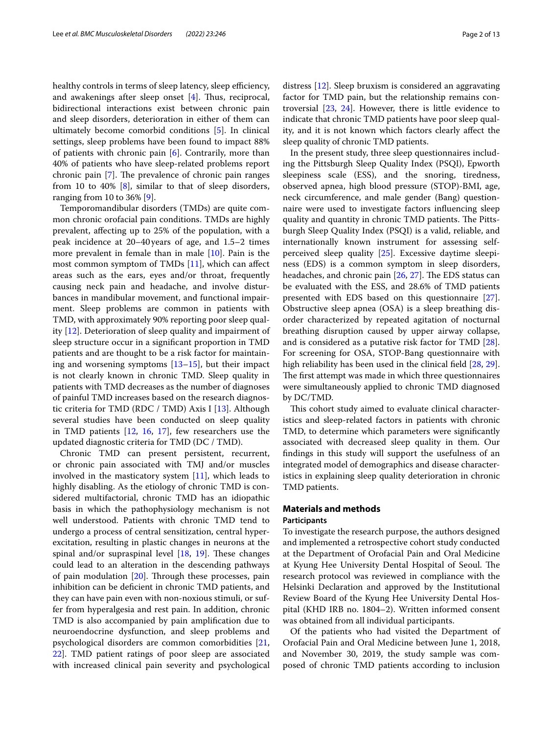healthy controls in terms of sleep latency, sleep efficiency, and awakenings after sleep onset  $[4]$  $[4]$ . Thus, reciprocal, bidirectional interactions exist between chronic pain and sleep disorders, deterioration in either of them can ultimately become comorbid conditions [\[5](#page-10-4)]. In clinical settings, sleep problems have been found to impact 88% of patients with chronic pain  $[6]$  $[6]$  $[6]$ . Contrarily, more than 40% of patients who have sleep-related problems report chronic pain  $[7]$  $[7]$ . The prevalence of chronic pain ranges from 10 to 40% [\[8](#page-10-7)], similar to that of sleep disorders, ranging from 10 to 36% [[9\]](#page-10-8).

Temporomandibular disorders (TMDs) are quite common chronic orofacial pain conditions. TMDs are highly prevalent, afecting up to 25% of the population, with a peak incidence at 20–40 years of age, and 1.5–2 times more prevalent in female than in male [[10\]](#page-10-9). Pain is the most common symptom of TMDs [[11\]](#page-10-10), which can afect areas such as the ears, eyes and/or throat, frequently causing neck pain and headache, and involve disturbances in mandibular movement, and functional impairment. Sleep problems are common in patients with TMD, with approximately 90% reporting poor sleep quality [[12\]](#page-10-11). Deterioration of sleep quality and impairment of sleep structure occur in a signifcant proportion in TMD patients and are thought to be a risk factor for maintaining and worsening symptoms [\[13–](#page-10-12)[15\]](#page-10-13), but their impact is not clearly known in chronic TMD. Sleep quality in patients with TMD decreases as the number of diagnoses of painful TMD increases based on the research diagnostic criteria for TMD (RDC / TMD) Axis I [[13\]](#page-10-12). Although several studies have been conducted on sleep quality in TMD patients [[12,](#page-10-11) [16](#page-10-14), [17\]](#page-10-15), few researchers use the updated diagnostic criteria for TMD (DC / TMD).

Chronic TMD can present persistent, recurrent, or chronic pain associated with TMJ and/or muscles involved in the masticatory system  $[11]$  $[11]$ , which leads to highly disabling. As the etiology of chronic TMD is considered multifactorial, chronic TMD has an idiopathic basis in which the pathophysiology mechanism is not well understood. Patients with chronic TMD tend to undergo a process of central sensitization, central hyperexcitation, resulting in plastic changes in neurons at the spinal and/or supraspinal level  $[18, 19]$  $[18, 19]$  $[18, 19]$  $[18, 19]$ . These changes could lead to an alteration in the descending pathways of pain modulation  $[20]$  $[20]$ . Through these processes, pain inhibition can be defcient in chronic TMD patients, and they can have pain even with non-noxious stimuli, or suffer from hyperalgesia and rest pain. In addition, chronic TMD is also accompanied by pain amplifcation due to neuroendocrine dysfunction, and sleep problems and psychological disorders are common comorbidities [\[21](#page-10-19), [22\]](#page-10-20). TMD patient ratings of poor sleep are associated with increased clinical pain severity and psychological

distress [[12\]](#page-10-11). Sleep bruxism is considered an aggravating factor for TMD pain, but the relationship remains controversial [[23,](#page-10-21) [24](#page-10-22)]. However, there is little evidence to indicate that chronic TMD patients have poor sleep quality, and it is not known which factors clearly afect the sleep quality of chronic TMD patients.

In the present study, three sleep questionnaires including the Pittsburgh Sleep Quality Index (PSQI), Epworth sleepiness scale (ESS), and the snoring, tiredness, observed apnea, high blood pressure (STOP)-BMI, age, neck circumference, and male gender (Bang) questionnaire were used to investigate factors infuencing sleep quality and quantity in chronic TMD patients. The Pittsburgh Sleep Quality Index (PSQI) is a valid, reliable, and internationally known instrument for assessing selfperceived sleep quality [[25](#page-10-23)]. Excessive daytime sleepiness (EDS) is a common symptom in sleep disorders, headaches, and chronic pain  $[26, 27]$  $[26, 27]$  $[26, 27]$  $[26, 27]$ . The EDS status can be evaluated with the ESS, and 28.6% of TMD patients presented with EDS based on this questionnaire [\[27](#page-10-25)]. Obstructive sleep apnea (OSA) is a sleep breathing disorder characterized by repeated agitation of nocturnal breathing disruption caused by upper airway collapse, and is considered as a putative risk factor for TMD [\[28](#page-11-0)]. For screening for OSA, STOP-Bang questionnaire with high reliability has been used in the clinical field [[28](#page-11-0), [29](#page-11-1)]. The first attempt was made in which three questionnaires were simultaneously applied to chronic TMD diagnosed by DC/TMD.

This cohort study aimed to evaluate clinical characteristics and sleep-related factors in patients with chronic TMD, to determine which parameters were signifcantly associated with decreased sleep quality in them. Our fndings in this study will support the usefulness of an integrated model of demographics and disease characteristics in explaining sleep quality deterioration in chronic TMD patients.

## **Materials and methods**

## **Participants**

To investigate the research purpose, the authors designed and implemented a retrospective cohort study conducted at the Department of Orofacial Pain and Oral Medicine at Kyung Hee University Dental Hospital of Seoul. The research protocol was reviewed in compliance with the Helsinki Declaration and approved by the Institutional Review Board of the Kyung Hee University Dental Hospital (KHD IRB no. 1804–2). Written informed consent was obtained from all individual participants.

Of the patients who had visited the Department of Orofacial Pain and Oral Medicine between June 1, 2018, and November 30, 2019, the study sample was composed of chronic TMD patients according to inclusion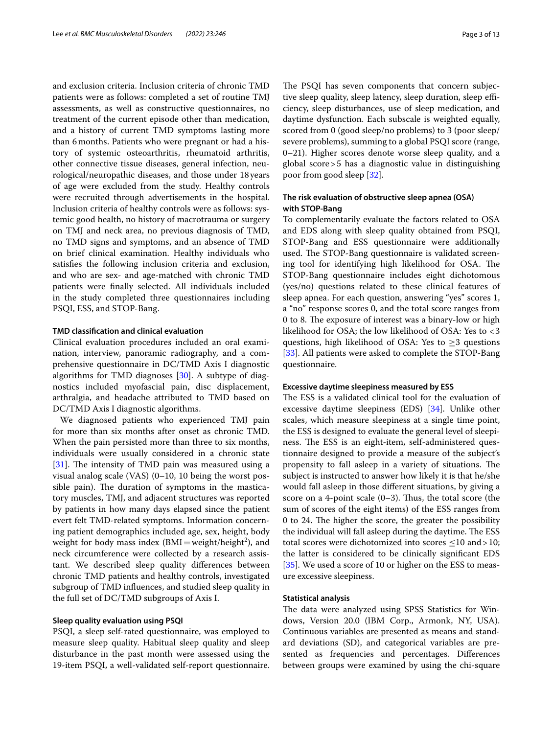and exclusion criteria. Inclusion criteria of chronic TMD patients were as follows: completed a set of routine TMJ assessments, as well as constructive questionnaires, no treatment of the current episode other than medication, and a history of current TMD symptoms lasting more than 6months. Patients who were pregnant or had a history of systemic osteoarthritis, rheumatoid arthritis, other connective tissue diseases, general infection, neurological/neuropathic diseases, and those under 18years of age were excluded from the study. Healthy controls were recruited through advertisements in the hospital. Inclusion criteria of healthy controls were as follows: systemic good health, no history of macrotrauma or surgery on TMJ and neck area, no previous diagnosis of TMD, no TMD signs and symptoms, and an absence of TMD on brief clinical examination. Healthy individuals who satisfes the following inclusion criteria and exclusion, and who are sex- and age-matched with chronic TMD patients were fnally selected. All individuals included in the study completed three questionnaires including PSQI, ESS, and STOP-Bang.

#### **TMD classifcation and clinical evaluation**

Clinical evaluation procedures included an oral examination, interview, panoramic radiography, and a comprehensive questionnaire in DC/TMD Axis I diagnostic algorithms for TMD diagnoses  $[30]$ . A subtype of diagnostics included myofascial pain, disc displacement, arthralgia, and headache attributed to TMD based on DC/TMD Axis I diagnostic algorithms.

We diagnosed patients who experienced TMJ pain for more than six months after onset as chronic TMD. When the pain persisted more than three to six months, individuals were usually considered in a chronic state [[31\]](#page-11-3). The intensity of TMD pain was measured using a visual analog scale (VAS) (0–10, 10 being the worst possible pain). The duration of symptoms in the masticatory muscles, TMJ, and adjacent structures was reported by patients in how many days elapsed since the patient evert felt TMD-related symptoms. Information concerning patient demographics included age, sex, height, body weight for body mass index  $(BMI = weight/height^2)$ , and neck circumference were collected by a research assistant. We described sleep quality diferences between chronic TMD patients and healthy controls, investigated subgroup of TMD infuences, and studied sleep quality in the full set of DC/TMD subgroups of Axis I.

## **Sleep quality evaluation using PSQI**

PSQI, a sleep self-rated questionnaire, was employed to measure sleep quality. Habitual sleep quality and sleep disturbance in the past month were assessed using the 19-item PSQI, a well-validated self-report questionnaire.

The PSQI has seven components that concern subjective sleep quality, sleep latency, sleep duration, sleep efficiency, sleep disturbances, use of sleep medication, and daytime dysfunction. Each subscale is weighted equally, scored from 0 (good sleep/no problems) to 3 (poor sleep/ severe problems), summing to a global PSQI score (range, 0–21). Higher scores denote worse sleep quality, and a global score>5 has a diagnostic value in distinguishing poor from good sleep [\[32\]](#page-11-4).

## **The risk evaluation of obstructive sleep apnea (OSA) with STOP‑Bang**

To complementarily evaluate the factors related to OSA and EDS along with sleep quality obtained from PSQI, STOP-Bang and ESS questionnaire were additionally used. The STOP-Bang questionnaire is validated screening tool for identifying high likelihood for OSA. The STOP-Bang questionnaire includes eight dichotomous (yes/no) questions related to these clinical features of sleep apnea. For each question, answering "yes" scores 1, a "no" response scores 0, and the total score ranges from 0 to 8. The exposure of interest was a binary-low or high likelihood for OSA; the low likelihood of OSA: Yes to <3 questions, high likelihood of OSA: Yes to ≥3 questions [[33\]](#page-11-5). All patients were asked to complete the STOP-Bang questionnaire.

#### **Excessive daytime sleepiness measured by ESS**

The ESS is a validated clinical tool for the evaluation of excessive daytime sleepiness (EDS) [[34\]](#page-11-6). Unlike other scales, which measure sleepiness at a single time point, the ESS is designed to evaluate the general level of sleepiness. The ESS is an eight-item, self-administered questionnaire designed to provide a measure of the subject's propensity to fall asleep in a variety of situations. The subject is instructed to answer how likely it is that he/she would fall asleep in those diferent situations, by giving a score on a 4-point scale  $(0-3)$ . Thus, the total score (the sum of scores of the eight items) of the ESS ranges from 0 to 24. The higher the score, the greater the possibility the individual will fall asleep during the daytime. The ESS total scores were dichotomized into scores ≤10 and>10; the latter is considered to be clinically signifcant EDS [[35\]](#page-11-7). We used a score of 10 or higher on the ESS to measure excessive sleepiness.

#### **Statistical analysis**

The data were analyzed using SPSS Statistics for Windows, Version 20.0 (IBM Corp., Armonk, NY, USA). Continuous variables are presented as means and standard deviations (SD), and categorical variables are presented as frequencies and percentages. Diferences between groups were examined by using the chi-square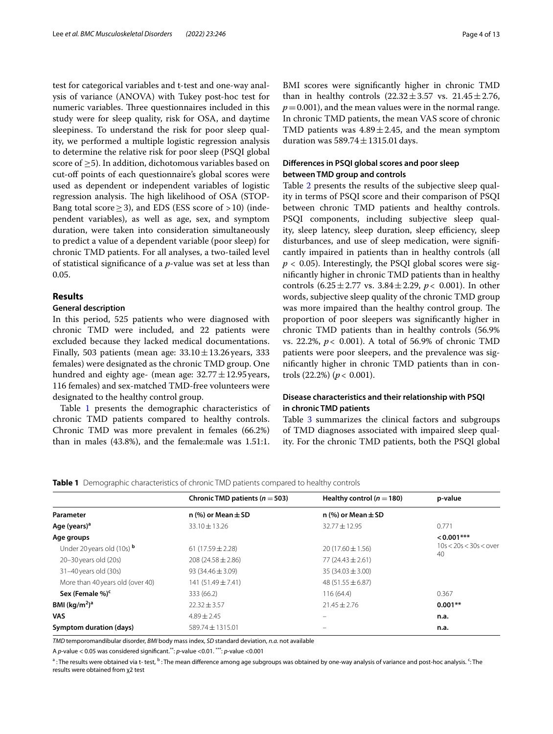test for categorical variables and t-test and one-way analysis of variance (ANOVA) with Tukey post-hoc test for numeric variables. Three questionnaires included in this study were for sleep quality, risk for OSA, and daytime sleepiness. To understand the risk for poor sleep quality, we performed a multiple logistic regression analysis to determine the relative risk for poor sleep (PSQI global score of  $>5$ ). In addition, dichotomous variables based on cut-off points of each questionnaire's global scores were used as dependent or independent variables of logistic regression analysis. The high likelihood of OSA (STOP-Bang total score  $\geq$  3), and EDS (ESS score of >10) (independent variables), as well as age, sex, and symptom duration, were taken into consideration simultaneously to predict a value of a dependent variable (poor sleep) for chronic TMD patients. For all analyses, a two-tailed level of statistical signifcance of a *p*-value was set at less than 0.05.

## **Results**

## **General description**

In this period, 525 patients who were diagnosed with chronic TMD were included, and 22 patients were excluded because they lacked medical documentations. Finally, 503 patients (mean age:  $33.10 \pm 13.26$  years, 333 females) were designated as the chronic TMD group. One hundred and eighty age- (mean age:  $32.77 \pm 12.95$  years, 116 females) and sex-matched TMD-free volunteers were designated to the healthy control group.

Table [1](#page-3-0) presents the demographic characteristics of chronic TMD patients compared to healthy controls. Chronic TMD was more prevalent in females (66.2%) than in males (43.8%), and the female:male was 1.51:1. BMI scores were signifcantly higher in chronic TMD than in healthy controls  $(22.32 \pm 3.57 \text{ vs. } 21.45 \pm 2.76,$  $p=0.001$ ), and the mean values were in the normal range. In chronic TMD patients, the mean VAS score of chronic TMD patients was  $4.89 \pm 2.45$ , and the mean symptom duration was  $589.74 \pm 1315.01$  days.

## **Diferences in PSQI global scores and poor sleep between TMD group and controls**

Table [2](#page-4-0) presents the results of the subjective sleep quality in terms of PSQI score and their comparison of PSQI between chronic TMD patients and healthy controls. PSQI components, including subjective sleep quality, sleep latency, sleep duration, sleep efficiency, sleep disturbances, and use of sleep medication, were signifcantly impaired in patients than in healthy controls (all  $p < 0.05$ ). Interestingly, the PSQI global scores were signifcantly higher in chronic TMD patients than in healthy controls  $(6.25 \pm 2.77 \text{ vs. } 3.84 \pm 2.29, p < 0.001)$ . In other words, subjective sleep quality of the chronic TMD group was more impaired than the healthy control group. The proportion of poor sleepers was signifcantly higher in chronic TMD patients than in healthy controls (56.9% vs. 22.2%, *p*< 0.001). A total of 56.9% of chronic TMD patients were poor sleepers, and the prevalence was signifcantly higher in chronic TMD patients than in controls (22.2%) (*p*< 0.001).

## **Disease characteristics and their relationship with PSQI in chronic TMD patients**

Table [3](#page-4-1) summarizes the clinical factors and subgroups of TMD diagnoses associated with impaired sleep quality. For the chronic TMD patients, both the PSQI global

<span id="page-3-0"></span>**Table 1** Demographic characteristics of chronic TMD patients compared to healthy controls

|                                   | Chronic TMD patients ( $n = 503$ ) | Healthy control ( $n = 180$ ) | p-value                  |  |
|-----------------------------------|------------------------------------|-------------------------------|--------------------------|--|
| Parameter                         | n (%) or Mean $\pm$ SD             | n (%) or Mean $\pm$ SD        |                          |  |
| Age (years) <sup>a</sup>          | $33.10 \pm 13.26$                  | $32.77 \pm 12.95$             | 0.771                    |  |
| Age groups                        |                                    |                               | $< 0.001***$             |  |
| Under 20 years old (10s) <b>b</b> | 61 $(17.59 \pm 2.28)$              | $20(17.60 \pm 1.56)$          | $10s < 20s < 30s <$ over |  |
| $20-30$ years old $(20s)$         | $208(24.58 \pm 2.86)$              | $77(24.43 \pm 2.61)$          | 40                       |  |
| 31-40 years old (30s)             | 93 $(34.46 \pm 3.09)$              | $35(34.03 \pm 3.00)$          |                          |  |
| More than 40 years old (over 40)  | $141(51.49 \pm 7.41)$              | 48 $(51.55 \pm 6.87)$         |                          |  |
| Sex (Female %) <sup>c</sup>       | 333 (66.2)                         | 116(64.4)                     | 0.367                    |  |
| BMI $(kq/m2)a$                    | $22.32 \pm 3.57$                   | $21.45 \pm 2.76$              | $0.001**$                |  |
| VAS                               | $4.89 \pm 2.45$                    |                               | n.a.                     |  |
| Symptom duration (days)           | $589.74 \pm 1315.01$               |                               | n.a.                     |  |

*TMD* temporomandibular disorder, *BMI* body mass index, *SD* standard deviation, *n.a.* not available

A *p*-value < 0.05 was considered signifcant.\*\*: *p*-value <0.01. \*\*\*: *p*-value <0.001

<sup>a</sup> : The results were obtained via t- test, <sup>b</sup> : The mean difference among age subgroups was obtained by one-way analysis of variance and post-hoc analysis. <sup>c</sup>: The results were obtained from χ2 test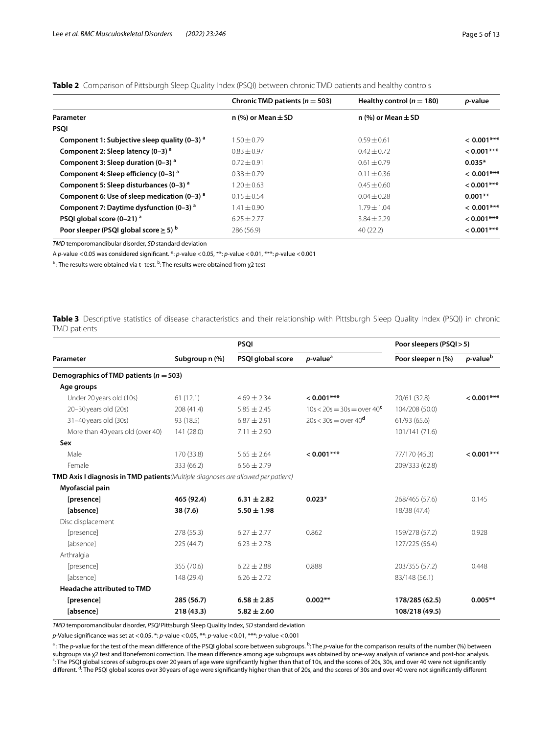|                                                      | Chronic TMD patients ( $n = 503$ ) | Healthy control ( $n = 180$ ) | <i>p</i> -value |
|------------------------------------------------------|------------------------------------|-------------------------------|-----------------|
| Parameter                                            | n (%) or Mean $\pm$ SD             | n (%) or Mean $\pm$ SD        |                 |
| <b>PSOI</b>                                          |                                    |                               |                 |
| Component 1: Subjective sleep quality $(0-3)^{a}$    | $1.50 \pm 0.79$                    | $0.59 + 0.61$                 | $< 0.001$ ***   |
| Component 2: Sleep latency (0-3) <sup>a</sup>        | $0.83 + 0.97$                      | $0.42 \pm 0.72$               | $< 0.001***$    |
| Component 3: Sleep duration $(0-3)^{a}$              | $0.72 \pm 0.91$                    | $0.61 \pm 0.79$               | $0.035*$        |
| Component 4: Sleep efficiency (0-3) <sup>a</sup>     | $0.38 + 0.79$                      | $0.11 \pm 0.36$               | $< 0.001$ ***   |
| Component 5: Sleep disturbances $(0-3)^{a}$          | $1.20 \pm 0.63$                    | $0.45 \pm 0.60$               | $< 0.001$ ***   |
| Component 6: Use of sleep medication $(0-3)^{a}$     | $0.15 \pm 0.54$                    | $0.04 + 0.28$                 | $0.001**$       |
| Component 7: Daytime dysfunction (0-3) <sup>a</sup>  | $1.41 \pm 0.90$                    | $1.79 + 1.04$                 | $< 0.001$ ***   |
| PSQI global score (0-21) <sup>a</sup>                | $6.25 + 2.77$                      | $3.84 + 2.29$                 | $< 0.001***$    |
| Poor sleeper (PSQI global score $\geq$ 5) $^{\rm b}$ | 286 (56.9)                         | 40(22.2)                      | $< 0.001$ ***   |

<span id="page-4-0"></span>**Table 2** Comparison of Pittsburgh Sleep Quality Index (PSQI) between chronic TMD patients and healthy controls

*TMD* temporomandibular disorder, *SD* standard deviation

A *p*-value <0.05 was considered signifcant. \*: *p*-value <0.05, \*\*: *p*-value <0.01, \*\*\*: *p*-value <0.001

<sup>a</sup> : The results were obtained via t- test. <sup>b</sup>: The results were obtained from χ2 test

<span id="page-4-1"></span>**Table 3** Descriptive statistics of disease characteristics and their relationship with Pittsburgh Sleep Quality Index (PSQI) in chronic TMD patients

|                                                                                          |                | <b>PSQI</b>       |                               | Poor sleepers (PSQI > 5) |                         |
|------------------------------------------------------------------------------------------|----------------|-------------------|-------------------------------|--------------------------|-------------------------|
| Parameter                                                                                | Subgroup n (%) | PSQI global score | $p$ -value <sup>a</sup>       | Poor sleeper n (%)       | $p$ -value <sup>b</sup> |
| Demographics of TMD patients ( $n = 503$ )                                               |                |                   |                               |                          |                         |
| Age groups                                                                               |                |                   |                               |                          |                         |
| Under 20 years old (10s)                                                                 | 61(12.1)       | $4.69 \pm 2.34$   | $< 0.001***$                  | 20/61 (32.8)             | $< 0.001***$            |
| 20-30 years old (20s)                                                                    | 208 (41.4)     | $5.85 \pm 2.45$   | $10s < 20s = 30s = over 40^c$ | 104/208 (50.0)           |                         |
| 31-40 years old (30s)                                                                    | 93 (18.5)      | $6.87 \pm 2.91$   | $20s < 30s =$ over $40^d$     | 61/93 (65.6)             |                         |
| More than 40 years old (over 40)                                                         | 141 (28.0)     | $7.11 \pm 2.90$   |                               | 101/141 (71.6)           |                         |
| Sex                                                                                      |                |                   |                               |                          |                         |
| Male                                                                                     | 170 (33.8)     | $5.65 \pm 2.64$   | $< 0.001***$                  | 77/170 (45.3)            | $< 0.001***$            |
| Female                                                                                   | 333 (66.2)     | $6.56 \pm 2.79$   |                               | 209/333 (62.8)           |                         |
| <b>TMD Axis I diagnosis in TMD patients</b> (Multiple diagnoses are allowed per patient) |                |                   |                               |                          |                         |
| Myofascial pain                                                                          |                |                   |                               |                          |                         |
| [presence]                                                                               | 465 (92.4)     | $6.31 \pm 2.82$   | $0.023*$                      | 268/465 (57.6)           | 0.145                   |
| [absence]                                                                                | 38 (7.6)       | $5.50 \pm 1.98$   |                               | 18/38 (47.4)             |                         |
| Disc displacement                                                                        |                |                   |                               |                          |                         |
| [presence]                                                                               | 278 (55.3)     | $6.27 \pm 2.77$   | 0.862                         | 159/278 (57.2)           | 0.928                   |
| [absence]                                                                                | 225(44.7)      | $6.23 \pm 2.78$   |                               | 127/225 (56.4)           |                         |
| Arthralgia                                                                               |                |                   |                               |                          |                         |
| [presence]                                                                               | 355 (70.6)     | $6.22 \pm 2.88$   | 0.888                         | 203/355 (57.2)           | 0.448                   |
| [absence]                                                                                | 148 (29.4)     | $6.26 \pm 2.72$   |                               | 83/148 (56.1)            |                         |
| <b>Headache attributed to TMD</b>                                                        |                |                   |                               |                          |                         |
| [presence]                                                                               | 285 (56.7)     | $6.58 \pm 2.85$   | $0.002**$                     | 178/285 (62.5)           | $0.005**$               |
| [absence]                                                                                | 218 (43.3)     | $5.82 \pm 2.60$   |                               | 108/218 (49.5)           |                         |

*TMD* temporomandibular disorder, *PSQI* Pittsburgh Sleep Quality Index, *SD* standard deviation

*p*-Value signifcance was set at <0.05. \*: *p*-value <0.05, \*\*: *p*-value <0.01, \*\*\*: *p*-value <0.001

<sup>a</sup>: The *p*-value for the test of the mean difference of the PSQI global score between subgroups. <sup>b</sup>: The *p*-value for the comparison results of the number (%) between subgroups via χ2 test and Boneferroni correction. The mean diference among age subgroups was obtained by one-way analysis of variance and post-hoc analysis. c : The PSQI global scores of subgroups over 20years of age were signifcantly higher than that of 10s, and the scores of 20s, 30s, and over 40 were not signifcantly different. <sup>d</sup>: The PSQI global scores over 30 years of age were significantly higher than that of 20s, and the scores of 30s and over 40 were not significantly different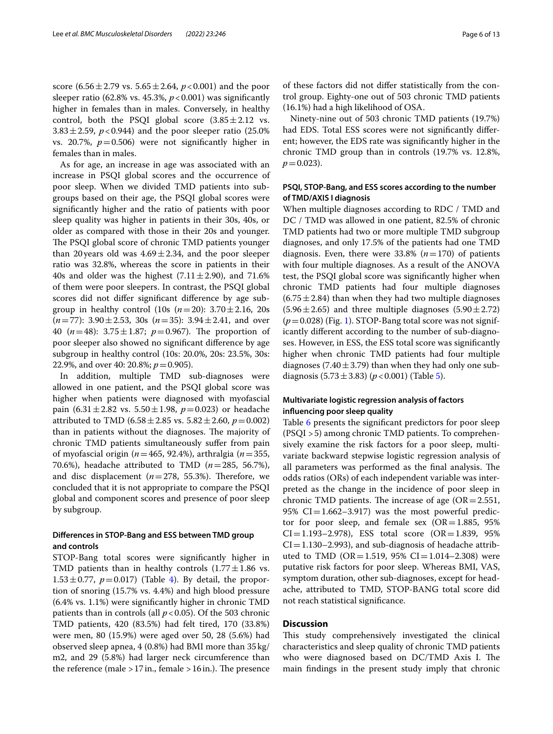score  $(6.56 \pm 2.79 \text{ vs. } 5.65 \pm 2.64, p < 0.001)$  and the poor sleeper ratio (62.8% vs. 45.3%,  $p < 0.001$ ) was significantly higher in females than in males. Conversely, in healthy control, both the PSQI global score  $(3.85 \pm 2.12 \text{ vs.})$ 3.83 $\pm$ 2.59, *p*<0.944) and the poor sleeper ratio (25.0%) vs. 20.7%,  $p=0.506$ ) were not significantly higher in females than in males.

As for age, an increase in age was associated with an increase in PSQI global scores and the occurrence of poor sleep. When we divided TMD patients into subgroups based on their age, the PSQI global scores were signifcantly higher and the ratio of patients with poor sleep quality was higher in patients in their 30s, 40s, or older as compared with those in their 20s and younger. The PSQI global score of chronic TMD patients younger than 20 years old was  $4.69 \pm 2.34$ , and the poor sleeper ratio was 32.8%, whereas the score in patients in their 40s and older was the highest  $(7.11 \pm 2.90)$ , and 71.6% of them were poor sleepers. In contrast, the PSQI global scores did not difer signifcant diference by age subgroup in healthy control (10s (*n*=20): 3.70±2.16, 20s (*n*=77): 3.90±2.53, 30s (*n*=35): 3.94±2.41, and over 40  $(n=48)$ : 3.75  $\pm$  1.87;  $p=0.967$ ). The proportion of poor sleeper also showed no signifcant diference by age subgroup in healthy control (10s: 20.0%, 20s: 23.5%, 30s: 22.9%, and over 40: 20.8%; *p*=0.905).

In addition, multiple TMD sub-diagnoses were allowed in one patient, and the PSQI global score was higher when patients were diagnosed with myofascial pain (6.31 $\pm$ 2.82 vs. 5.50 $\pm$ 1.98,  $p$ =0.023) or headache attributed to TMD (6.58 $\pm$ 2.85 vs. 5.82 $\pm$ 2.60, *p*=0.002) than in patients without the diagnoses. The majority of chronic TMD patients simultaneously sufer from pain of myofascial origin (*n*=465, 92.4%), arthralgia (*n*=355, 70.6%), headache attributed to TMD (*n*=285, 56.7%), and disc displacement  $(n=278, 55.3%)$ . Therefore, we concluded that it is not appropriate to compare the PSQI global and component scores and presence of poor sleep by subgroup.

## **Diferences in STOP‑Bang and ESS between TMD group and controls**

STOP-Bang total scores were signifcantly higher in TMD patients than in healthy controls  $(1.77 \pm 1.86 \text{ vs.})$  $1.53 \pm 0.77$ ,  $p = 0.017$ ) (Table [4](#page-6-0)). By detail, the proportion of snoring (15.7% vs. 4.4%) and high blood pressure (6.4% vs. 1.1%) were signifcantly higher in chronic TMD patients than in controls (all  $p < 0.05$ ). Of the 503 chronic TMD patients, 420 (83.5%) had felt tired, 170 (33.8%) were men, 80 (15.9%) were aged over 50, 28 (5.6%) had observed sleep apnea, 4 (0.8%) had BMI more than 35 kg/ m2, and 29 (5.8%) had larger neck circumference than the reference (male  $>17$  in., female  $>16$  in.). The presence

Ninety-nine out of 503 chronic TMD patients (19.7%) had EDS. Total ESS scores were not signifcantly diferent; however, the EDS rate was signifcantly higher in the chronic TMD group than in controls (19.7% vs. 12.8%,  $p = 0.023$ ).

## **PSQI, STOP‑Bang, and ESS scores according to the number of TMD/AXIS I diagnosis**

When multiple diagnoses according to RDC / TMD and DC / TMD was allowed in one patient, 82.5% of chronic TMD patients had two or more multiple TMD subgroup diagnoses, and only 17.5% of the patients had one TMD diagnosis. Even, there were  $33.8\%$  ( $n=170$ ) of patients with four multiple diagnoses. As a result of the ANOVA test, the PSQI global score was signifcantly higher when chronic TMD patients had four multiple diagnoses  $(6.75 \pm 2.84)$  than when they had two multiple diagnoses  $(5.96 \pm 2.65)$  and three multiple diagnoses  $(5.90 \pm 2.72)$  $(p=0.028)$  (Fig. [1\)](#page-7-0). STOP-Bang total score was not significantly diferent according to the number of sub-diagnoses. However, in ESS, the ESS total score was signifcantly higher when chronic TMD patients had four multiple diagnoses (7.40 $\pm$ 3.79) than when they had only one subdiagnosis  $(5.73 \pm 3.83)$  ( $p < 0.001$ ) (Table [5](#page-7-1)).

## **Multivariate logistic regression analysis of factors infuencing poor sleep quality**

Table [6](#page-8-0) presents the significant predictors for poor sleep (PSQI >5) among chronic TMD patients. To comprehensively examine the risk factors for a poor sleep, multivariate backward stepwise logistic regression analysis of all parameters was performed as the final analysis. The odds ratios (ORs) of each independent variable was interpreted as the change in the incidence of poor sleep in chronic TMD patients. The increase of age  $(OR = 2.551,$ 95%  $CI = 1.662 - 3.917$ ) was the most powerful predictor for poor sleep, and female sex  $(OR=1.885, 95\%)$  $CI = 1.193 - 2.978$ , ESS total score  $(OR = 1.839, 95\%)$  $CI = 1.130 - 2.993$ ), and sub-diagnosis of headache attributed to TMD (OR=1.519, 95% CI=1.014-2.308) were putative risk factors for poor sleep. Whereas BMI, VAS, symptom duration, other sub-diagnoses, except for headache, attributed to TMD, STOP-BANG total score did not reach statistical signifcance.

## **Discussion**

This study comprehensively investigated the clinical characteristics and sleep quality of chronic TMD patients who were diagnosed based on DC/TMD Axis I. The main fndings in the present study imply that chronic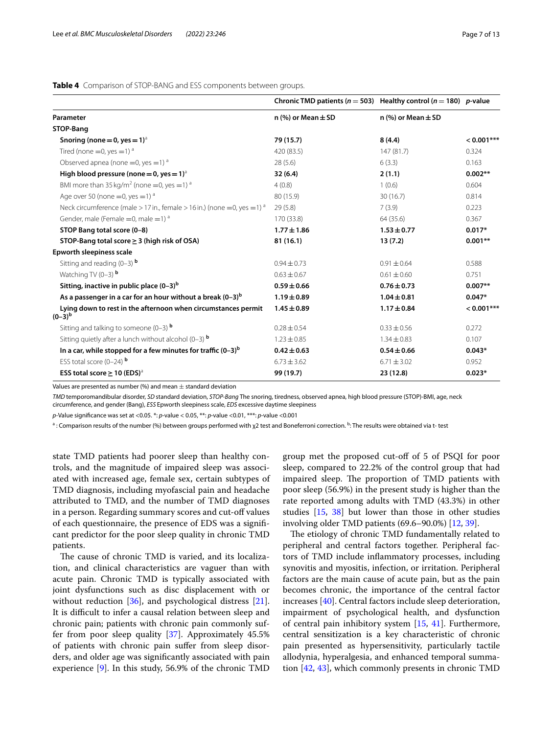#### <span id="page-6-0"></span>**Table 4** Comparison of STOP-BANG and ESS components between groups.

|                                                                                      | Chronic TMD patients ( $n = 503$ ) Healthy control ( $n = 180$ ) p-value |                          |              |
|--------------------------------------------------------------------------------------|--------------------------------------------------------------------------|--------------------------|--------------|
| Parameter                                                                            | n $(\%)$ or Mean $\pm$ SD                                                | n $%$ ) or Mean $\pm$ SD |              |
| STOP-Bang                                                                            |                                                                          |                          |              |
| Snoring (none = 0, yes = $1$ ) <sup>a</sup>                                          | 79 (15.7)                                                                | 8(4.4)                   | $< 0.001***$ |
| Tired (none = 0, yes = 1) $^a$                                                       | 420 (83.5)                                                               | 147(81.7)                | 0.324        |
| Observed apnea (none = 0, yes = 1) $^a$                                              | 28(5.6)                                                                  | 6(3.3)                   | 0.163        |
| High blood pressure (none = 0, yes = $1)^a$                                          | 32(6.4)                                                                  | 2(1.1)                   | $0.002**$    |
| BMI more than $35 \text{ kg/m}^2$ (none =0, yes =1) <sup>a</sup>                     | 4(0.8)                                                                   | 1(0.6)                   | 0.604        |
| Age over 50 (none $=$ 0, yes $=$ 1) $^{\circ}$                                       | 80 (15.9)                                                                | 30(16.7)                 | 0.814        |
| Neck circumference (male > 17 in., female > 16 in.) (none = 0, yes = 1) <sup>a</sup> | 29(5.8)                                                                  | 7(3.9)                   | 0.223        |
| Gender, male (Female = 0, male = $1$ ) <sup>a</sup>                                  | 170 (33.8)                                                               | 64 (35.6)                | 0.367        |
| STOP Bang total score (0-8)                                                          | $1.77 \pm 1.86$                                                          | $1.53 \pm 0.77$          | $0.017*$     |
| STOP-Bang total score $\geq$ 3 (high risk of OSA)                                    | 81(16.1)                                                                 | 13(7.2)                  | $0.001**$    |
| Epworth sleepiness scale                                                             |                                                                          |                          |              |
| Sitting and reading $(0-3)$ b                                                        | $0.94 \pm 0.73$                                                          | $0.91 \pm 0.64$          | 0.588        |
| Watching TV $(0-3)$ <sup>b</sup>                                                     | $0.63 \pm 0.67$                                                          | $0.61 \pm 0.60$          | 0.751        |
| Sitting, inactive in public place $(0-3)^b$                                          | $0.59 \pm 0.66$                                                          | $0.76 \pm 0.73$          | $0.007**$    |
| As a passenger in a car for an hour without a break $(0-3)^b$                        | $1.19 \pm 0.89$                                                          | $1.04 \pm 0.81$          | $0.047*$     |
| Lying down to rest in the afternoon when circumstances permit<br>$(0-3)^{b}$         | $1.45 \pm 0.89$                                                          | $1.17 \pm 0.84$          | $< 0.001***$ |
| Sitting and talking to someone $(0-3)$ b                                             | $0.28 \pm 0.54$                                                          | $0.33 \pm 0.56$          | 0.272        |
| Sitting quietly after a lunch without alcohol (0-3) $b$                              | $1.23 \pm 0.85$                                                          | $1.34 \pm 0.83$          | 0.107        |
| In a car, while stopped for a few minutes for traffic $(0-3)^b$                      | $0.42 \pm 0.63$                                                          | $0.54 \pm 0.66$          | $0.043*$     |
| ESS total score $(0-24)$ <sup>b</sup>                                                | $6.73 \pm 3.62$                                                          | $6.71 \pm 3.02$          | 0.952        |
| ESS total score $\geq$ 10 (EDS) <sup>a</sup>                                         | 99 (19.7)                                                                | 23 (12.8)                | $0.023*$     |

Values are presented as number (%) and mean  $\pm$  standard deviation

*TMD* temporomandibular disorder, *SD* standard deviation, *STOP-Bang* The snoring, tiredness, observed apnea, high blood pressure (STOP)-BMI, age, neck circumference, and gender (Bang), *ESS* Epworth sleepiness scale, *EDS* excessive daytime sleepiness

*p-*Value signifcance was set at <0.05. \*: *p*-value < 0.05, \*\*: *p*-value <0.01, \*\*\*: *p*-value <0.001

 $^{\rm a}$  : Comparison results of the number (%) between groups performed with χ2 test and Boneferroni correction. <sup>b</sup>: The results were obtained via t- test

state TMD patients had poorer sleep than healthy controls, and the magnitude of impaired sleep was associated with increased age, female sex, certain subtypes of TMD diagnosis, including myofascial pain and headache attributed to TMD, and the number of TMD diagnoses in a person. Regarding summary scores and cut-off values of each questionnaire, the presence of EDS was a signifcant predictor for the poor sleep quality in chronic TMD patients.

The cause of chronic TMD is varied, and its localization, and clinical characteristics are vaguer than with acute pain. Chronic TMD is typically associated with joint dysfunctions such as disc displacement with or without reduction [[36](#page-11-8)], and psychological distress [\[21](#page-10-19)]. It is difficult to infer a causal relation between sleep and chronic pain; patients with chronic pain commonly suffer from poor sleep quality [[37\]](#page-11-9). Approximately 45.5% of patients with chronic pain sufer from sleep disorders, and older age was signifcantly associated with pain experience [\[9](#page-10-8)]. In this study, 56.9% of the chronic TMD

group met the proposed cut-of of 5 of PSQI for poor sleep, compared to 22.2% of the control group that had impaired sleep. The proportion of TMD patients with poor sleep (56.9%) in the present study is higher than the rate reported among adults with TMD (43.3%) in other studies [\[15,](#page-10-13) [38\]](#page-11-10) but lower than those in other studies involving older TMD patients (69.6–90.0%) [[12,](#page-10-11) [39](#page-11-11)].

The etiology of chronic TMD fundamentally related to peripheral and central factors together. Peripheral factors of TMD include infammatory processes, including synovitis and myositis, infection, or irritation. Peripheral factors are the main cause of acute pain, but as the pain becomes chronic, the importance of the central factor increases [[40](#page-11-12)]. Central factors include sleep deterioration, impairment of psychological health, and dysfunction of central pain inhibitory system [\[15](#page-10-13), [41\]](#page-11-13). Furthermore, central sensitization is a key characteristic of chronic pain presented as hypersensitivity, particularly tactile allodynia, hyperalgesia, and enhanced temporal summation [\[42](#page-11-14), [43\]](#page-11-15), which commonly presents in chronic TMD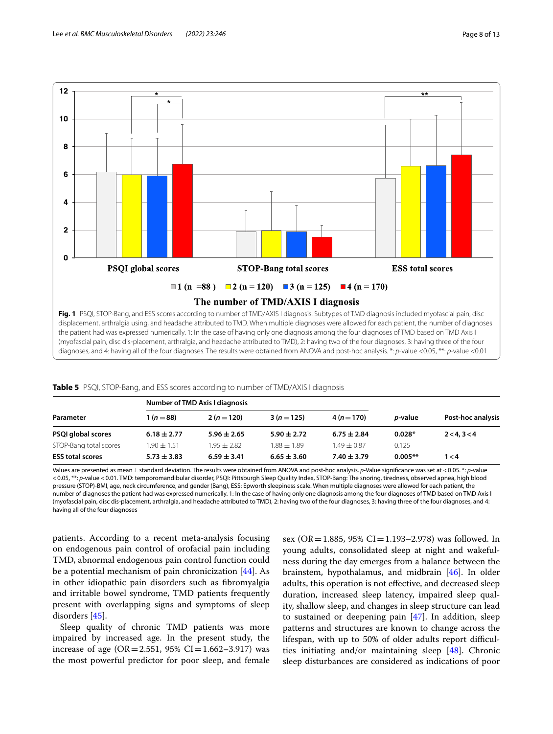



<span id="page-7-1"></span><span id="page-7-0"></span>

|  |  | Table 5 PSQI, STOP-Bang, and ESS scores according to number of TMD/AXIS I diagnosis |  |
|--|--|-------------------------------------------------------------------------------------|--|
|--|--|-------------------------------------------------------------------------------------|--|

|                         | Number of TMD Axis I diagnosis |                 |                 |                 |                 |                   |
|-------------------------|--------------------------------|-----------------|-----------------|-----------------|-----------------|-------------------|
| Parameter               | 1 ( $n = 88$ )                 | $2(n=120)$      | $3(n=125)$      | $4(n=170)$      | <i>p</i> -value | Post-hoc analysis |
| PSQI global scores      | $6.18 \pm 2.77$                | $5.96 \pm 2.65$ | $5.90 \pm 2.72$ | $6.75 \pm 2.84$ | $0.028*$        | 2 < 4.3 < 4       |
| STOP-Bang total scores  | $1.90 \pm 1.51$                | $1.95 + 2.82$   | $1.88 + 1.89$   | $1.49 + 0.87$   | 0.125           |                   |
| <b>ESS total scores</b> | $5.73 \pm 3.83$                | $6.59 \pm 3.41$ | $6.65 \pm 3.60$ | $7.40 \pm 3.79$ | $0.005**$       | 1 < 4             |

Values are presented as mean±standard deviation. The results were obtained from ANOVA and post-hoc analysis. *p*-Value signifcance was set at <0.05. \*: *p*-value <0.05, \*\*: *p*-value <0.01. TMD: temporomandibular disorder, PSQI: Pittsburgh Sleep Quality Index, STOP-Bang: The snoring, tiredness, observed apnea, high blood pressure (STOP)-BMI, age, neck circumference, and gender (Bang), ESS: Epworth sleepiness scale. When multiple diagnoses were allowed for each patient, the number of diagnoses the patient had was expressed numerically. 1: In the case of having only one diagnosis among the four diagnoses of TMD based on TMD Axis I (myofascial pain, disc dis-placement, arthralgia, and headache attributed to TMD), 2: having two of the four diagnoses, 3: having three of the four diagnoses, and 4: having all of the four diagnoses

patients. According to a recent meta-analysis focusing on endogenous pain control of orofacial pain including TMD, abnormal endogenous pain control function could be a potential mechanism of pain chronicization [[44\]](#page-11-16). As in other idiopathic pain disorders such as fbromyalgia and irritable bowel syndrome, TMD patients frequently present with overlapping signs and symptoms of sleep disorders [\[45\]](#page-11-17).

Sleep quality of chronic TMD patients was more impaired by increased age. In the present study, the increase of age (OR=2.551, 95% CI=1.662-3.917) was the most powerful predictor for poor sleep, and female sex (OR=1.885, 95% CI=1.193–2.978) was followed. In young adults, consolidated sleep at night and wakefulness during the day emerges from a balance between the brainstem, hypothalamus, and midbrain [[46\]](#page-11-18). In older adults, this operation is not efective, and decreased sleep duration, increased sleep latency, impaired sleep quality, shallow sleep, and changes in sleep structure can lead to sustained or deepening pain [\[47\]](#page-11-19). In addition, sleep patterns and structures are known to change across the lifespan, with up to 50% of older adults report difficulties initiating and/or maintaining sleep [\[48](#page-11-20)]. Chronic sleep disturbances are considered as indications of poor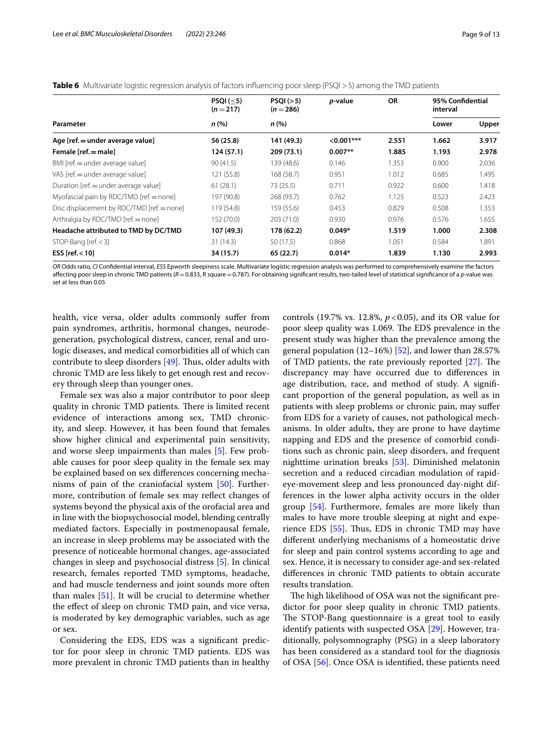|                                            | PSQI $(-5)$<br>$(n=217)$ | PSQI(>5)<br>$(n = 286)$ | <i>p</i> -value | <b>OR</b> | 95% Confidential<br>interval |       |
|--------------------------------------------|--------------------------|-------------------------|-----------------|-----------|------------------------------|-------|
| Parameter                                  | n (%)                    | n(%)                    |                 |           | Lower                        | Upper |
| Age [ref. = under average value]           | 56 (25.8)                | 141 (49.3)              | $< 0.001$ ***   | 2.551     | 1.662                        | 3.917 |
| Female [ref. = male]                       | 124 (57.1)               | 209 (73.1)              | $0.007**$       | 1.885     | 1.193                        | 2.978 |
| BMI [ref. = under average value]           | 90(41.5)                 | 139 (48.6)              | 0.146           | 1.353     | 0.900                        | 2.036 |
| VAS [ref. = under average value]           | 121 (55.8)               | 168 (58.7)              | 0.951           | 1.012     | 0.685                        | 1.495 |
| Duration [ref. = under average value]      | 61(28.1)                 | 73 (25.5)               | 0.711           | 0.922     | 0.600                        | 1.418 |
| Myofascial pain by RDC/TMD [ref. = none]   | 197 (90.8)               | 268 (93.7)              | 0.762           | 1.125     | 0.523                        | 2.423 |
| Disc displacement by RDC/TMD [ref. = none] | 119 (54.8)               | 159 (55.6)              | 0.453           | 0.829     | 0.508                        | 1.353 |
| Arthralgia by RDC/TMD [ref. = none]        | 152 (70.0)               | 203 (71.0)              | 0.930           | 0.976     | 0.576                        | 1.655 |
| Headache attributed to TMD by DC/TMD       | 107 (49.3)               | 178 (62.2)              | $0.049*$        | 1.519     | 1.000                        | 2.308 |
| STOP-Bang [ $ref. < 3$ ]                   | 31 (14.3)                | 50 (17.5)               | 0.868           | 1.051     | 0.584                        | 1.891 |
| ESS [ $ref. < 10$ ]                        | 34 (15.7)                | 65(22.7)                | $0.014*$        | 1.839     | 1.130                        | 2.993 |

## <span id="page-8-0"></span>**Table 6** Multivariate logistic regression analysis of factors influencing poor sleep (PSQI > 5) among the TMD patients

*OR* Odds ratio, *CI* Confdential interval, *ESS* Epworth sleepiness scale. Multivariate logistic regression analysis was performed to comprehensively examine the factors afecting poor sleep in chronic TMD patients (*R*=0.833, R square=0.787). For obtaining signifcant results, two-tailed level of statistical signifcance of a *p*-value was set at less than 0.05

health, vice versa, older adults commonly sufer from pain syndromes, arthritis, hormonal changes, neurodegeneration, psychological distress, cancer, renal and urologic diseases, and medical comorbidities all of which can contribute to sleep disorders  $[49]$ . Thus, older adults with chronic TMD are less likely to get enough rest and recovery through sleep than younger ones.

Female sex was also a major contributor to poor sleep quality in chronic TMD patients. There is limited recent evidence of interactions among sex, TMD chronicity, and sleep. However, it has been found that females show higher clinical and experimental pain sensitivity, and worse sleep impairments than males [\[5](#page-10-4)]. Few probable causes for poor sleep quality in the female sex may be explained based on sex diferences concerning mechanisms of pain of the craniofacial system [[50\]](#page-11-22). Furthermore, contribution of female sex may refect changes of systems beyond the physical axis of the orofacial area and in line with the biopsychosocial model, blending centrally mediated factors. Especially in postmenopausal female, an increase in sleep problems may be associated with the presence of noticeable hormonal changes, age-associated changes in sleep and psychosocial distress [[5](#page-10-4)]. In clinical research, females reported TMD symptoms, headache, and had muscle tenderness and joint sounds more often than males [[51\]](#page-11-23). It will be crucial to determine whether the effect of sleep on chronic TMD pain, and vice versa, is moderated by key demographic variables, such as age or sex.

Considering the EDS, EDS was a signifcant predictor for poor sleep in chronic TMD patients. EDS was more prevalent in chronic TMD patients than in healthy

controls (19.7% vs. 12.8%, *p*<0.05), and its OR value for poor sleep quality was 1.069. The EDS prevalence in the present study was higher than the prevalence among the general population  $(12–16%)$  [\[52](#page-11-24)], and lower than 28.57% of TMD patients, the rate previously reported  $[27]$  $[27]$ . The discrepancy may have occurred due to diferences in age distribution, race, and method of study. A signifcant proportion of the general population, as well as in patients with sleep problems or chronic pain, may sufer from EDS for a variety of causes, not pathological mechanisms. In older adults, they are prone to have daytime napping and EDS and the presence of comorbid conditions such as chronic pain, sleep disorders, and frequent nighttime urination breaks [\[53](#page-11-25)]. Diminished melatonin secretion and a reduced circadian modulation of rapideye-movement sleep and less pronounced day-night differences in the lower alpha activity occurs in the older group [[54](#page-11-26)]. Furthermore, females are more likely than males to have more trouble sleeping at night and experience EDS  $[55]$  $[55]$  $[55]$ . Thus, EDS in chronic TMD may have diferent underlying mechanisms of a homeostatic drive for sleep and pain control systems according to age and sex. Hence, it is necessary to consider age-and sex-related diferences in chronic TMD patients to obtain accurate results translation.

The high likelihood of OSA was not the significant predictor for poor sleep quality in chronic TMD patients. The STOP-Bang questionnaire is a great tool to easily identify patients with suspected OSA [\[29](#page-11-1)]. However, traditionally, polysomnography (PSG) in a sleep laboratory has been considered as a standard tool for the diagnosis of OSA [\[56\]](#page-11-28). Once OSA is identifed, these patients need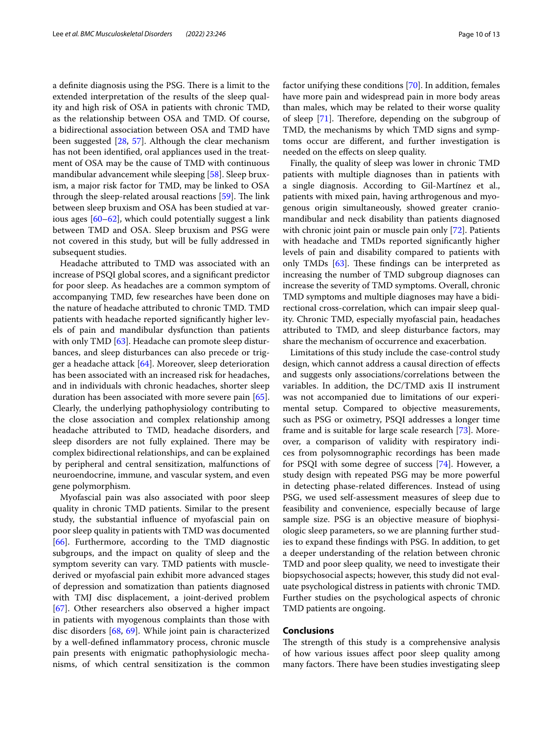a definite diagnosis using the PSG. There is a limit to the extended interpretation of the results of the sleep quality and high risk of OSA in patients with chronic TMD, as the relationship between OSA and TMD. Of course, a bidirectional association between OSA and TMD have been suggested [[28,](#page-11-0) [57](#page-11-29)]. Although the clear mechanism has not been identifed, oral appliances used in the treatment of OSA may be the cause of TMD with continuous mandibular advancement while sleeping [\[58\]](#page-11-30). Sleep bruxism, a major risk factor for TMD, may be linked to OSA through the sleep-related arousal reactions  $[59]$  $[59]$ . The link between sleep bruxism and OSA has been studied at various ages [\[60](#page-11-32)[–62\]](#page-11-33), which could potentially suggest a link between TMD and OSA. Sleep bruxism and PSG were not covered in this study, but will be fully addressed in subsequent studies.

Headache attributed to TMD was associated with an increase of PSQI global scores, and a signifcant predictor for poor sleep. As headaches are a common symptom of accompanying TMD, few researches have been done on the nature of headache attributed to chronic TMD. TMD patients with headache reported signifcantly higher levels of pain and mandibular dysfunction than patients with only TMD [[63](#page-11-34)]. Headache can promote sleep disturbances, and sleep disturbances can also precede or trigger a headache attack [[64\]](#page-11-35). Moreover, sleep deterioration has been associated with an increased risk for headaches, and in individuals with chronic headaches, shorter sleep duration has been associated with more severe pain [\[65](#page-11-36)]. Clearly, the underlying pathophysiology contributing to the close association and complex relationship among headache attributed to TMD, headache disorders, and sleep disorders are not fully explained. There may be complex bidirectional relationships, and can be explained by peripheral and central sensitization, malfunctions of neuroendocrine, immune, and vascular system, and even gene polymorphism.

Myofascial pain was also associated with poor sleep quality in chronic TMD patients. Similar to the present study, the substantial infuence of myofascial pain on poor sleep quality in patients with TMD was documented [[66\]](#page-11-37). Furthermore, according to the TMD diagnostic subgroups, and the impact on quality of sleep and the symptom severity can vary. TMD patients with musclederived or myofascial pain exhibit more advanced stages of depression and somatization than patients diagnosed with TMJ disc displacement, a joint-derived problem [[67\]](#page-11-38). Other researchers also observed a higher impact in patients with myogenous complaints than those with disc disorders [\[68](#page-11-39), [69\]](#page-11-40). While joint pain is characterized by a well-defned infammatory process, chronic muscle pain presents with enigmatic pathophysiologic mechanisms, of which central sensitization is the common factor unifying these conditions [\[70](#page-11-41)]. In addition, females have more pain and widespread pain in more body areas than males, which may be related to their worse quality of sleep  $[71]$  $[71]$ . Therefore, depending on the subgroup of TMD, the mechanisms by which TMD signs and symptoms occur are diferent, and further investigation is needed on the efects on sleep quality.

Finally, the quality of sleep was lower in chronic TMD patients with multiple diagnoses than in patients with a single diagnosis. According to Gil-Martínez et al., patients with mixed pain, having arthrogenous and myogenous origin simultaneously, showed greater craniomandibular and neck disability than patients diagnosed with chronic joint pain or muscle pain only [[72\]](#page-11-43). Patients with headache and TMDs reported signifcantly higher levels of pain and disability compared to patients with only TMDs  $[63]$  $[63]$ . These findings can be interpreted as increasing the number of TMD subgroup diagnoses can increase the severity of TMD symptoms. Overall, chronic TMD symptoms and multiple diagnoses may have a bidirectional cross-correlation, which can impair sleep quality. Chronic TMD, especially myofascial pain, headaches attributed to TMD, and sleep disturbance factors, may share the mechanism of occurrence and exacerbation.

Limitations of this study include the case-control study design, which cannot address a causal direction of efects and suggests only associations/correlations between the variables. In addition, the DC/TMD axis II instrument was not accompanied due to limitations of our experimental setup. Compared to objective measurements, such as PSG or oximetry, PSQI addresses a longer time frame and is suitable for large scale research [\[73](#page-11-44)]. Moreover, a comparison of validity with respiratory indices from polysomnographic recordings has been made for PSQI with some degree of success [[74\]](#page-11-45). However, a study design with repeated PSG may be more powerful in detecting phase-related diferences. Instead of using PSG, we used self-assessment measures of sleep due to feasibility and convenience, especially because of large sample size. PSG is an objective measure of biophysiologic sleep parameters, so we are planning further studies to expand these fndings with PSG. In addition, to get a deeper understanding of the relation between chronic TMD and poor sleep quality, we need to investigate their biopsychosocial aspects; however, this study did not evaluate psychological distress in patients with chronic TMD. Further studies on the psychological aspects of chronic TMD patients are ongoing.

## **Conclusions**

The strength of this study is a comprehensive analysis of how various issues afect poor sleep quality among many factors. There have been studies investigating sleep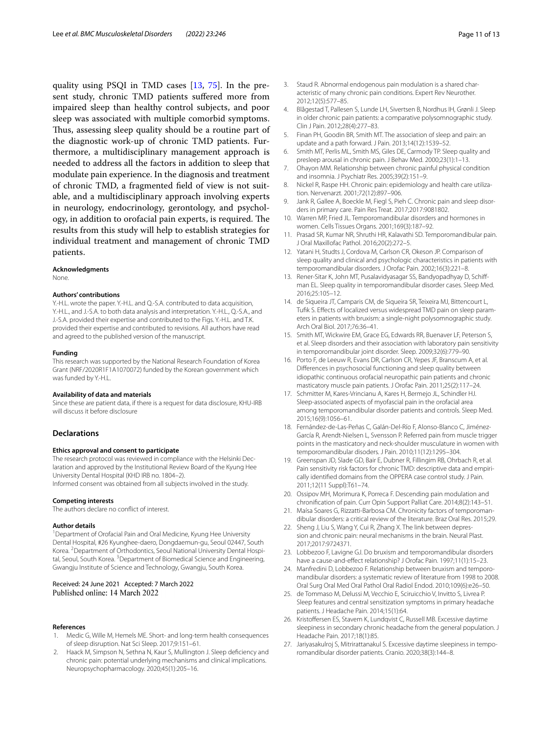quality using PSQI in TMD cases [\[13,](#page-10-12) [75](#page-12-0)]. In the present study, chronic TMD patients sufered more from impaired sleep than healthy control subjects, and poor sleep was associated with multiple comorbid symptoms. Thus, assessing sleep quality should be a routine part of the diagnostic work-up of chronic TMD patients. Furthermore, a multidisciplinary management approach is needed to address all the factors in addition to sleep that modulate pain experience. In the diagnosis and treatment of chronic TMD, a fragmented feld of view is not suitable, and a multidisciplinary approach involving experts in neurology, endocrinology, gerontology, and psychology, in addition to orofacial pain experts, is required. The results from this study will help to establish strategies for individual treatment and management of chronic TMD patients.

#### **Acknowledgments**

None.

#### **Authors' contributions**

Y.-H.L. wrote the paper. Y.-H.L. and Q.-S.A. contributed to data acquisition, Y.-H.L., and J.-S.A. to both data analysis and interpretation. Y.-H.L., Q.-S.A., and J.-S.A. provided their expertise and contributed to the Figs. Y.-H.L. and T.K. provided their expertise and contributed to revisions. All authors have read and agreed to the published version of the manuscript.

#### **Funding**

This research was supported by the National Research Foundation of Korea Grant (NRF/2020R1F1A1070072) funded by the Korean government which was funded by Y.-H.L.

#### **Availability of data and materials**

Since these are patient data, if there is a request for data disclosure, KHU-IRB will discuss it before disclosure

#### **Declarations**

#### **Ethics approval and consent to participate**

The research protocol was reviewed in compliance with the Helsinki Declaration and approved by the Institutional Review Board of the Kyung Hee University Dental Hospital (KHD IRB no. 1804–2).

Informed consent was obtained from all subjects involved in the study.

#### **Competing interests**

The authors declare no confict of interest.

#### **Author details**

<sup>1</sup> Department of Orofacial Pain and Oral Medicine, Kyung Hee University Dental Hospital, #26 Kyunghee‑daero, Dongdaemun‑gu, Seoul 02447, South Korea. <sup>2</sup> Department of Orthodontics, Seoul National University Dental Hospital, Seoul, South Korea. <sup>3</sup>Department of Biomedical Science and Engineering, Gwangju Institute of Science and Technology, Gwangju, South Korea.

## Received: 24 June 2021 Accepted: 7 March 2022

#### **References**

- <span id="page-10-0"></span>Medic G, Wille M, Hemels ME. Short- and long-term health consequences of sleep disruption. Nat Sci Sleep. 2017;9:151–61.
- <span id="page-10-1"></span>2. Haack M, Simpson N, Sethna N, Kaur S, Mullington J. Sleep defciency and chronic pain: potential underlying mechanisms and clinical implications. Neuropsychopharmacology. 2020;45(1):205–16.
- <span id="page-10-3"></span>4. Blågestad T, Pallesen S, Lunde LH, Sivertsen B, Nordhus IH, Grønli J. Sleep in older chronic pain patients: a comparative polysomnographic study. Clin J Pain. 2012;28(4):277–83.
- <span id="page-10-4"></span>5. Finan PH, Goodin BR, Smith MT. The association of sleep and pain: an update and a path forward. J Pain. 2013;14(12):1539–52.

<span id="page-10-2"></span>2012;12(5):577–85.

- <span id="page-10-5"></span>6. Smith MT, Perlis ML, Smith MS, Giles DE, Carmody TP. Sleep quality and presleep arousal in chronic pain. J Behav Med. 2000;23(1):1–13.
- <span id="page-10-6"></span>7. Ohayon MM. Relationship between chronic painful physical condition and insomnia. J Psychiatr Res. 2005;39(2):151–9.
- <span id="page-10-7"></span>8. Nickel R, Raspe HH. Chronic pain: epidemiology and health care utilization. Nervenarzt. 2001;72(12):897–906.
- <span id="page-10-8"></span>9. Jank R, Gallee A, Boeckle M, Fiegl S, Pieh C. Chronic pain and sleep disorders in primary care. Pain Res Treat. 2017;2017:9081802.
- <span id="page-10-9"></span>10. Warren MP, Fried JL. Temporomandibular disorders and hormones in women. Cells Tissues Organs. 2001;169(3):187–92.
- <span id="page-10-10"></span>11. Prasad SR, Kumar NR, Shruthi HR, Kalavathi SD. Temporomandibular pain. J Oral Maxillofac Pathol. 2016;20(2):272–5.
- <span id="page-10-11"></span>12. Yatani H, Studts J, Cordova M, Carlson CR, Okeson JP. Comparison of sleep quality and clinical and psychologic characteristics in patients with temporomandibular disorders. J Orofac Pain. 2002;16(3):221–8.
- <span id="page-10-12"></span>13. Rener-Sitar K, John MT, Pusalavidyasagar SS, Bandyopadhyay D, Schiffman EL. Sleep quality in temporomandibular disorder cases. Sleep Med. 2016;25:105–12.
- 14. de Siqueira JT, Camparis CM, de Siqueira SR, Teixeira MJ, Bittencourt L, Tufik S. Effects of localized versus widespread TMD pain on sleep parameters in patients with bruxism: a single-night polysomnographic study. Arch Oral Biol. 2017;76:36–41.
- <span id="page-10-13"></span>15. Smith MT, Wickwire EM, Grace EG, Edwards RR, Buenaver LF, Peterson S, et al. Sleep disorders and their association with laboratory pain sensitivity in temporomandibular joint disorder. Sleep. 2009;32(6):779–90.
- <span id="page-10-14"></span>16. Porto F, de Leeuw R, Evans DR, Carlson CR, Yepes JF, Branscum A, et al. Diferences in psychosocial functioning and sleep quality between idiopathic continuous orofacial neuropathic pain patients and chronic masticatory muscle pain patients. J Orofac Pain. 2011;25(2):117–24.
- <span id="page-10-15"></span>17. Schmitter M, Kares-Vrincianu A, Kares H, Bermejo JL, Schindler HJ. Sleep-associated aspects of myofascial pain in the orofacial area among temporomandibular disorder patients and controls. Sleep Med. 2015;16(9):1056–61.
- <span id="page-10-16"></span>18. Fernández-de-Las-Peñas C, Galán-Del-Río F, Alonso-Blanco C, Jiménez-García R, Arendt-Nielsen L, Svensson P. Referred pain from muscle trigger points in the masticatory and neck-shoulder musculature in women with temporomandibular disoders. J Pain. 2010;11(12):1295–304.
- <span id="page-10-17"></span>19. Greenspan JD, Slade GD, Bair E, Dubner R, Fillingim RB, Ohrbach R, et al. Pain sensitivity risk factors for chronic TMD: descriptive data and empirically identifed domains from the OPPERA case control study. J Pain. 2011;12(11 Suppl):T61–74.
- <span id="page-10-18"></span>20. Ossipov MH, Morimura K, Porreca F. Descending pain modulation and chronifcation of pain. Curr Opin Support Palliat Care. 2014;8(2):143–51.
- <span id="page-10-19"></span>21. Maísa Soares G, Rizzatti-Barbosa CM. Chronicity factors of temporomandibular disorders: a critical review of the literature. Braz Oral Res. 2015;29.
- <span id="page-10-20"></span>22. Sheng J, Liu S, Wang Y, Cui R, Zhang X. The link between depression and chronic pain: neural mechanisms in the brain. Neural Plast. 2017;2017:9724371.
- <span id="page-10-21"></span>23. Lobbezoo F, Lavigne GJ. Do bruxism and temporomandibular disorders have a cause-and-effect relationship? J Orofac Pain. 1997;11(1):15-23.
- <span id="page-10-22"></span>24. Manfredini D, Lobbezoo F. Relationship between bruxism and temporomandibular disorders: a systematic review of literature from 1998 to 2008. Oral Surg Oral Med Oral Pathol Oral Radiol Endod. 2010;109(6):e26–50.
- <span id="page-10-23"></span>25. de Tommaso M, Delussi M, Vecchio E, Sciruicchio V, Invitto S, Livrea P. Sleep features and central sensitization symptoms in primary headache patients. J Headache Pain. 2014;15(1):64.
- <span id="page-10-24"></span>26. Kristoffersen ES, Stavem K, Lundqvist C, Russell MB. Excessive daytime sleepiness in secondary chronic headache from the general population. J Headache Pain. 2017;18(1):85.
- <span id="page-10-25"></span>27. Jariyasakulroj S, Mitrirattanakul S. Excessive daytime sleepiness in temporomandibular disorder patients. Cranio. 2020;38(3):144–8.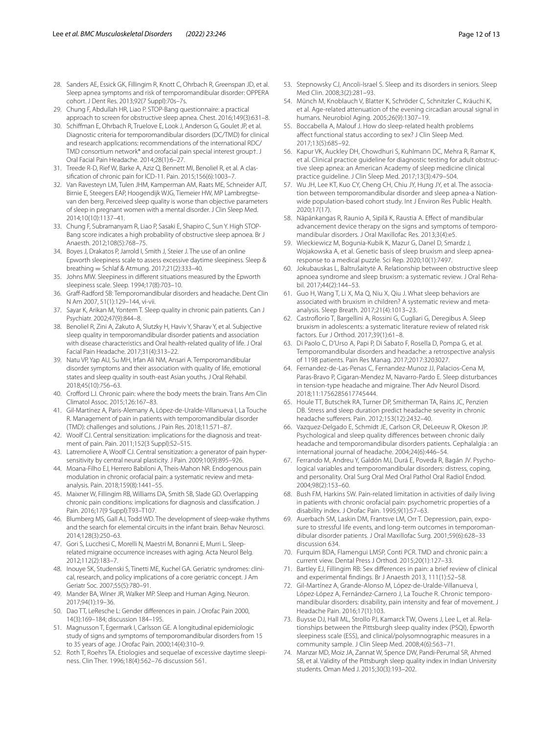- <span id="page-11-0"></span>28. Sanders AE, Essick GK, Fillingim R, Knott C, Ohrbach R, Greenspan JD, et al. Sleep apnea symptoms and risk of temporomandibular disorder: OPPERA cohort. J Dent Res. 2013;92(7 Suppl):70s–7s.
- <span id="page-11-1"></span>29. Chung F, Abdullah HR, Liao P. STOP-Bang questionnaire: a practical approach to screen for obstructive sleep apnea. Chest. 2016;149(3):631–8.
- <span id="page-11-2"></span>30. Schifman E, Ohrbach R, Truelove E, Look J, Anderson G, Goulet JP, et al. Diagnostic criteria for temporomandibular disorders (DC/TMD) for clinical and research applications: recommendations of the international RDC/ TMD consortium network\* and orofacial pain special interest group†. J Oral Facial Pain Headache. 2014;28(1):6–27.
- <span id="page-11-3"></span>31. Treede R-D, Rief W, Barke A, Aziz Q, Bennett MI, Benoliel R, et al. A classifcation of chronic pain for ICD-11. Pain. 2015;156(6):1003–7.
- <span id="page-11-4"></span>32. Van Ravesteyn LM, Tulen JHM, Kamperman AM, Raats ME, Schneider AJT, Birnie E, Steegers EAP, Hoogendijk WJG, Tiemeier HW, MP Lambregtsevan den berg. Perceived sleep quality is worse than objective parameters of sleep in pregnant women with a mental disorder. J Clin Sleep Med. 2014;10(10):1137–41.
- <span id="page-11-5"></span>33. Chung F, Subramanyam R, Liao P, Sasaki E, Shapiro C, Sun Y. High STOP-Bang score indicates a high probability of obstructive sleep apnoea. Br J Anaesth. 2012;108(5):768–75.
- <span id="page-11-6"></span>34. Boyes J, Drakatos P, Jarrold I, Smith J, Steier J. The use of an online Epworth sleepiness scale to assess excessive daytime sleepiness. Sleep & breathing = Schlaf & Atmung. 2017;21(2):333–40.
- <span id="page-11-7"></span>35. Johns MW. Sleepiness in diferent situations measured by the Epworth sleepiness scale. Sleep. 1994;17(8):703–10.
- <span id="page-11-8"></span>36. Graf-Radford SB: Temporomandibular disorders and headache. Dent Clin N Am 2007, 51(1):129–144, vi-vii.
- <span id="page-11-9"></span>37. Sayar K, Arikan M, Yontem T. Sleep quality in chronic pain patients. Can J Psychiatr. 2002;47(9):844–8.
- <span id="page-11-10"></span>38. Benoliel R, Zini A, Zakuto A, Slutzky H, Haviv Y, Sharav Y, et al. Subjective sleep quality in temporomandibular disorder patients and association with disease characteristics and Oral health-related quality of life. J Oral Facial Pain Headache. 2017;31(4):313–22.
- <span id="page-11-11"></span>39. Natu VP, Yap AU, Su MH, Irfan Ali NM, Ansari A. Temporomandibular disorder symptoms and their association with quality of life, emotional states and sleep quality in south-east Asian youths. J Oral Rehabil. 2018;45(10):756–63.
- <span id="page-11-12"></span>40. Crofford LJ. Chronic pain: where the body meets the brain. Trans Am Clin Climatol Assoc. 2015;126:167–83.
- <span id="page-11-13"></span>41. Gil-Martínez A, Paris-Alemany A, López-de-Uralde-Villanueva I, La Touche R. Management of pain in patients with temporomandibular disorder (TMD): challenges and solutions. J Pain Res. 2018;11:571–87.
- <span id="page-11-14"></span>42. Woolf CJ. Central sensitization: implications for the diagnosis and treatment of pain. Pain. 2011;152(3 Suppl):S2–S15.
- <span id="page-11-15"></span>43. Latremoliere A, Woolf CJ. Central sensitization: a generator of pain hypersensitivity by central neural plasticity. J Pain. 2009;10(9):895–926.
- <span id="page-11-16"></span>44. Moana-Filho EJ, Herrero Babiloni A, Theis-Mahon NR. Endogenous pain modulation in chronic orofacial pain: a systematic review and metaanalysis. Pain. 2018;159(8):1441–55.
- <span id="page-11-17"></span>45. Maixner W, Fillingim RB, Williams DA, Smith SB, Slade GD. Overlapping chronic pain conditions: implications for diagnosis and classifcation. J Pain. 2016;17(9 Suppl):T93–T107.
- <span id="page-11-18"></span>46. Blumberg MS, Gall AJ, Todd WD. The development of sleep-wake rhythms and the search for elemental circuits in the infant brain. Behav Neurosci. 2014;128(3):250–63.
- <span id="page-11-19"></span>47. Gori S, Lucchesi C, Morelli N, Maestri M, Bonanni E, Murri L. Sleeprelated migraine occurrence increases with aging. Acta Neurol Belg. 2012;112(2):183–7.
- <span id="page-11-20"></span>48. Inouye SK, Studenski S, Tinetti ME, Kuchel GA. Geriatric syndromes: clinical, research, and policy implications of a core geriatric concept. J Am Geriatr Soc. 2007;55(5):780–91.
- <span id="page-11-21"></span>49. Mander BA, Winer JR, Walker MP. Sleep and Human Aging. Neuron. 2017;94(1):19–36.
- <span id="page-11-22"></span>50. Dao TT, LeResche L: Gender diferences in pain. J Orofac Pain 2000, 14(3):169–184; discussion 184–195.
- <span id="page-11-23"></span>51. Magnusson T, Egermark I, Carlsson GE. A longitudinal epidemiologic study of signs and symptoms of temporomandibular disorders from 15 to 35 years of age. J Orofac Pain. 2000;14(4):310–9.
- <span id="page-11-24"></span>52. Roth T, Roehrs TA. Etiologies and sequelae of excessive daytime sleepiness. Clin Ther. 1996;18(4):562–76 discussion 561.
- <span id="page-11-25"></span>53. Stepnowsky CJ, Ancoli-Israel S. Sleep and its disorders in seniors. Sleep Med Clin. 2008;3(2):281–93.
- <span id="page-11-26"></span>54. Münch M, Knoblauch V, Blatter K, Schröder C, Schnitzler C, Kräuchi K, et al. Age-related attenuation of the evening circadian arousal signal in humans. Neurobiol Aging. 2005;26(9):1307–19.
- <span id="page-11-27"></span>55. Boccabella A, Malouf J. How do sleep-related health problems afect functional status according to sex? J Clin Sleep Med. 2017;13(5):685–92.
- <span id="page-11-28"></span>56. Kapur VK, Auckley DH, Chowdhuri S, Kuhlmann DC, Mehra R, Ramar K, et al. Clinical practice quideline for diagnostic testing for adult obstructive sleep apnea: an American Academy of sleep medicine clinical practice guideline. J Clin Sleep Med. 2017;13(3):479–504.
- <span id="page-11-29"></span>57. Wu JH, Lee KT, Kuo CY, Cheng CH, Chiu JY, Hung JY, et al. The association between temporomandibular disorder and sleep apnea-a Nationwide population-based cohort study. Int J Environ Res Public Health. 2020;17(17).
- <span id="page-11-30"></span>58. Näpänkangas R, Raunio A, Sipilä K, Raustia A. Efect of mandibular advancement device therapy on the signs and symptoms of temporomandibular disorders. J Oral Maxillofac Res. 2013;3(4):e5.
- <span id="page-11-31"></span>59. Wieckiewicz M, Bogunia-Kubik K, Mazur G, Danel D, Smardz J, Wojakowska A, et al. Genetic basis of sleep bruxism and sleep apnearesponse to a medical puzzle. Sci Rep. 2020;10(1):7497.
- <span id="page-11-32"></span>60. Jokubauskas L, Baltrušaitytė A. Relationship between obstructive sleep apnoea syndrome and sleep bruxism: a systematic review. J Oral Rehabil. 2017;44(2):144–53.
- 61. Guo H, Wang T, Li X, Ma Q, Niu X, Qiu J. What sleep behaviors are associated with bruxism in children? A systematic review and metaanalysis. Sleep Breath. 2017;21(4):1013–23.
- <span id="page-11-33"></span>62. Castroforio T, Bargellini A, Rossini G, Cugliari G, Deregibus A. Sleep bruxism in adolescents: a systematic literature review of related risk factors. Eur J Orthod. 2017;39(1):61–8.
- <span id="page-11-34"></span>63. Di Paolo C, D'Urso A, Papi P, Di Sabato F, Rosella D, Pompa G, et al. Temporomandibular disorders and headache: a retrospective analysis of 1198 patients. Pain Res Manag. 2017;2017:3203027.
- <span id="page-11-35"></span>64. Fernandez-de-Las-Penas C, Fernandez-Munoz JJ, Palacios-Cena M, Paras-Bravo P, Cigaran-Mendez M, Navarro-Pardo E. Sleep disturbances in tension-type headache and migraine. Ther Adv Neurol Disord. 2018;11:1756285617745444.
- <span id="page-11-36"></span>65. Houle TT, Butschek RA, Turner DP, Smitherman TA, Rains JC, Penzien DB. Stress and sleep duration predict headache severity in chronic headache suferers. Pain. 2012;153(12):2432–40.
- <span id="page-11-37"></span>66. Vazquez-Delgado E, Schmidt JE, Carlson CR, DeLeeuw R, Okeson JP. Psychological and sleep quality diferences between chronic daily headache and temporomandibular disorders patients. Cephalalgia : an international journal of headache. 2004;24(6):446–54.
- <span id="page-11-38"></span>67. Ferrando M, Andreu Y, Galdón MJ, Durá E, Poveda R, Bagán JV. Psychological variables and temporomandibular disorders: distress, coping, and personality. Oral Surg Oral Med Oral Pathol Oral Radiol Endod. 2004;98(2):153–60.
- <span id="page-11-39"></span>68. Bush FM, Harkins SW. Pain-related limitation in activities of daily living in patients with chronic orofacial pain: psychometric properties of a disability index. J Orofac Pain. 1995;9(1):57–63.
- <span id="page-11-40"></span>69. Auerbach SM, Laskin DM, Frantsve LM, Orr T. Depression, pain, exposure to stressful life events, and long-term outcomes in temporomandibular disorder patients. J Oral Maxillofac Surg. 2001;59(6):628–33 discussion 634.
- <span id="page-11-41"></span>70. Furquim BDA, Flamengui LMSP, Conti PCR. TMD and chronic pain: a current view. Dental Press J Orthod. 2015;20(1):127–33.
- <span id="page-11-42"></span>71. Bartley EJ, Fillingim RB: Sex diferences in pain: a brief review of clinical and experimental fndings. Br J Anaesth 2013, 111(1):52–58.
- <span id="page-11-43"></span>72. Gil-Martínez A, Grande-Alonso M, López-de-Uralde-Villanueva I, López-López A, Fernández-Carnero J, La Touche R. Chronic temporomandibular disorders: disability, pain intensity and fear of movement. J Headache Pain. 2016;17(1):103.
- <span id="page-11-44"></span>73. Buysse DJ, Hall ML, Strollo PJ, Kamarck TW, Owens J, Lee L, et al. Relationships between the Pittsburgh sleep quality index (PSQI), Epworth sleepiness scale (ESS), and clinical/polysomnographic measures in a community sample. J Clin Sleep Med. 2008;4(6):563–71.
- <span id="page-11-45"></span>74. Manzar MD, Moiz JA, Zannat W, Spence DW, Pandi-Perumal SR, Ahmed SB, et al. Validity of the Pittsburgh sleep quality index in Indian University students. Oman Med J. 2015;30(3):193–202.